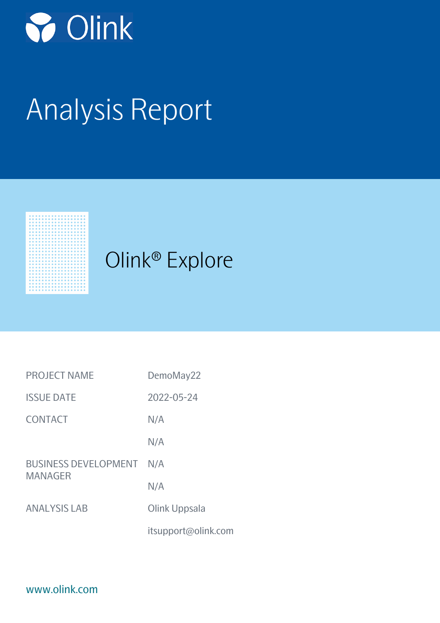

# Analysis Report



| <b>PROJECT NAME</b>                           | DemoMay22           |
|-----------------------------------------------|---------------------|
| <b>ISSUE DATE</b>                             | 2022-05-24          |
| <b>CONTACT</b>                                | N/A                 |
|                                               | N/A                 |
| <b>BUSINESS DEVELOPMENT</b><br><b>MANAGER</b> | N/A                 |
|                                               | N/A                 |
| <b>ANALYSIS LAB</b>                           | Olink Uppsala       |
|                                               | itsupport@olink.com |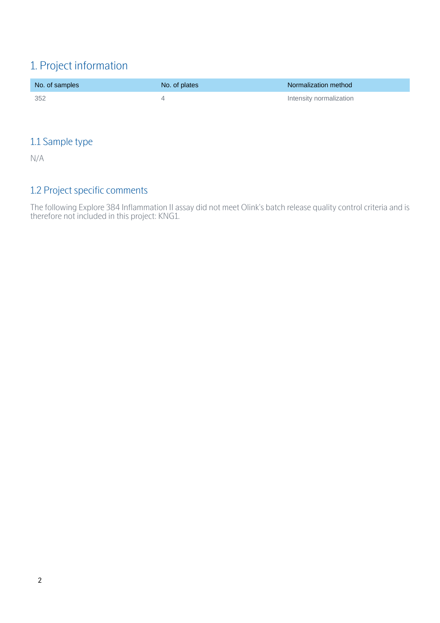# 1. Project information

| No. of samples | No. of plates | Normalization method    |
|----------------|---------------|-------------------------|
| - 352          |               | Intensity normalization |

## 1.1 Sample type

N/A

## 1.2 Project specific comments

The following Explore 384 Inflammation II assay did not meet Olink's batch release quality control criteria and is therefore not included in this project: KNG1.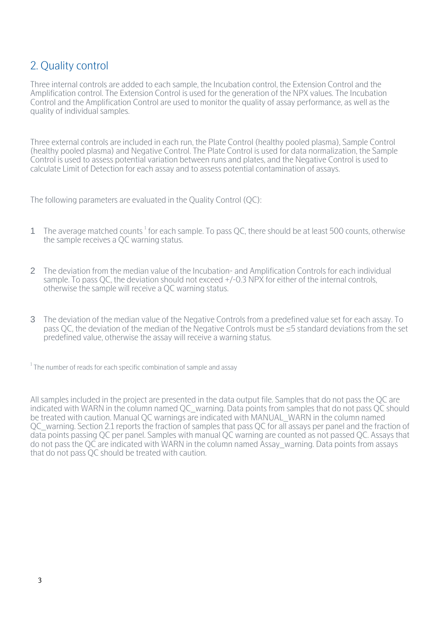# 2. Quality control

Three internal controls are added to each sample, the Incubation control, the Extension Control and the Amplification control. The Extension Control is used for the generation of the NPX values. The Incubation Control and the Amplification Control are used to monitor the quality of assay performance, as well as the quality of individual samples.

Three external controls are included in each run, the Plate Control (healthy pooled plasma), Sample Control (healthy pooled plasma) and Negative Control. The Plate Control is used for data normalization, the Sample Control is used to assess potential variation between runs and plates, and the Negative Control is used to calculate Limit of Detection for each assay and to assess potential contamination of assays.

The following parameters are evaluated in the Quality Control (QC):

- 1 The average matched counts<sup>1</sup> for each sample. To pass QC, there should be at least 500 counts, otherwise the sample receives a QC warning status.
- 2 The deviation from the median value of the Incubation- and Amplification Controls for each individual sample. To pass QC, the deviation should not exceed +/-0.3 NPX for either of the internal controls, otherwise the sample will receive a QC warning status.
- 3 The deviation of the median value of the Negative Controls from a predefined value set for each assay. To pass QC, the deviation of the median of the Negative Controls must be ≤5 standard deviations from the set predefined value, otherwise the assay will receive a warning status.

 $^{1}$ The number of reads for each specific combination of sample and assay

All samples included in the project are presented in the data output file. Samples that do not pass the QC are indicated with WARN in the column named QC warning. Data points from samples that do not pass QC should be treated with caution. Manual QC warnings are indicated with MANUAL\_WARN in the column named QC warning. Section 2.1 reports the fraction of samples that pass QC for all assays per panel and the fraction of data points passing QC per panel. Samples with manual QC warning are counted as not passed QC. Assays that do not pass the QC are indicated with WARN in the column named Assay\_warning. Data points from assays that do not pass QC should be treated with caution.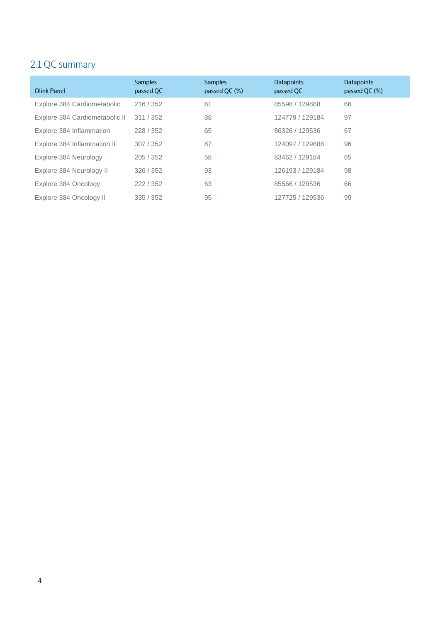# 2.1 QC summary

| <b>Olink Panel</b>             | <b>Samples</b><br>passed QC | <b>Samples</b><br>passed QC (%) | <b>Datapoints</b><br>passed QC | <b>Datapoints</b><br>passed QC (%) |
|--------------------------------|-----------------------------|---------------------------------|--------------------------------|------------------------------------|
| Explore 384 Cardiometabolic    | 216/352                     | 61                              | 85598 / 129888                 | 66                                 |
| Explore 384 Cardiometabolic II | 311/352                     | 88                              | 124779 / 129184                | 97                                 |
| Explore 384 Inflammation       | 228/352                     | 65                              | 86326 / 129536                 | 67                                 |
| Explore 384 Inflammation II    | 307/352                     | 87                              | 124097 / 129888                | 96                                 |
| Explore 384 Neurology          | 205/352                     | 58                              | 83462 / 129184                 | 65                                 |
| Explore 384 Neurology II       | 326/352                     | 93                              | 126193 / 129184                | 98                                 |
| Explore 384 Oncology           | 222/352                     | 63                              | 85566 / 129536                 | 66                                 |
| Explore 384 Oncology II        | 335/352                     | 95                              | 127725 / 129536                | 99                                 |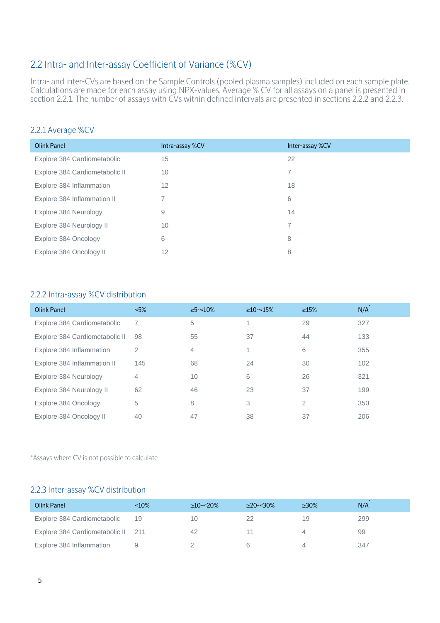## 2.2 Intra- and Inter-assay Coefficient of Variance (%CV)

Intra- and inter-CVs are based on the Sample Controls (pooled plasma samples) included on each sample plate. Calculations are made for each assay using NPX-values. Average % CV for all assays on a panel is presented in section 2.2.1. The number of assays with CVs within defined intervals are presented in sections 2.2.2 and 2.2.3.

#### 2.2.1 Average %CV

| <b>Olink Panel</b>             | Intra-assay %CV | Inter-assay %CV |
|--------------------------------|-----------------|-----------------|
| Explore 384 Cardiometabolic    | 15              | 22              |
| Explore 384 Cardiometabolic II | 10              | 7               |
| Explore 384 Inflammation       | 12              | 18              |
| Explore 384 Inflammation II    | 7               | 6               |
| Explore 384 Neurology          | 9               | 14              |
| Explore 384 Neurology II       | 10              |                 |
| Explore 384 Oncology           | 6               | 8               |
| Explore 384 Oncology II        | 12              | 8               |

#### 2.2.2 Intra-assay %CV distribution

| Olink Panel                    | ~5% | $\geq$ 5-<10%  | $\geq$ 10-<15% | $\geq 15\%$    | N/A |
|--------------------------------|-----|----------------|----------------|----------------|-----|
| Explore 384 Cardiometabolic    | 7   | 5              |                | 29             | 327 |
| Explore 384 Cardiometabolic II | 98  | 55             | 37             | 44             | 133 |
| Explore 384 Inflammation       | 2   | $\overline{4}$ |                | 6              | 355 |
| Explore 384 Inflammation II    | 145 | 68             | 24             | 30             | 102 |
| Explore 384 Neurology          | 4   | 10             | 6              | 26             | 321 |
| Explore 384 Neurology II       | 62  | 46             | 23             | 37             | 199 |
| Explore 384 Oncology           | 5   | 8              | 3              | $\overline{2}$ | 350 |
| Explore 384 Oncology II        | 40  | 47             | 38             | 37             | 206 |

\*Assays where CV is not possible to calculate

#### 2.2.3 Inter-assay %CV distribution

| Olink Panel                        | $~10\%$ | $\geq$ 10-<20% | $>20 - 30\%$ | $\geq 30\%$ | N/A |
|------------------------------------|---------|----------------|--------------|-------------|-----|
| Explore 384 Cardiometabolic        | 19      | 10             |              | 19          | 299 |
| Explore 384 Cardiometabolic II 211 |         | 42             |              |             | 99  |
| Explore 384 Inflammation           |         |                |              |             | 347 |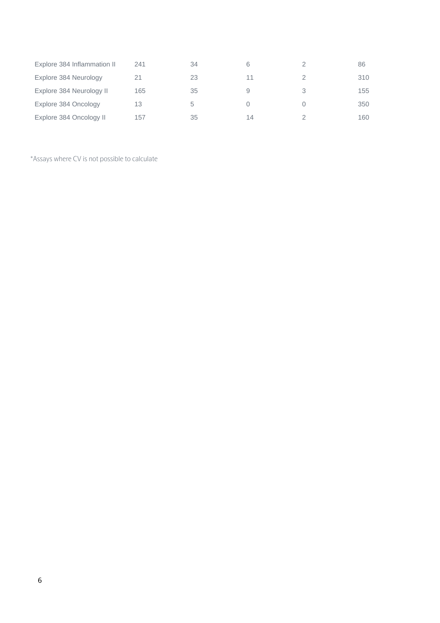| Explore 384 Inflammation II | 241 | 34 | 6  |   | 86  |
|-----------------------------|-----|----|----|---|-----|
| Explore 384 Neurology       |     | 23 | 11 |   | 310 |
| Explore 384 Neurology II    | 165 | 35 | 9  | 3 | 155 |
| Explore 384 Oncology        | 13  | 5  |    |   | 350 |
| Explore 384 Oncology II     | 157 | 35 | 14 |   | 160 |

\*Assays where CV is not possible to calculate